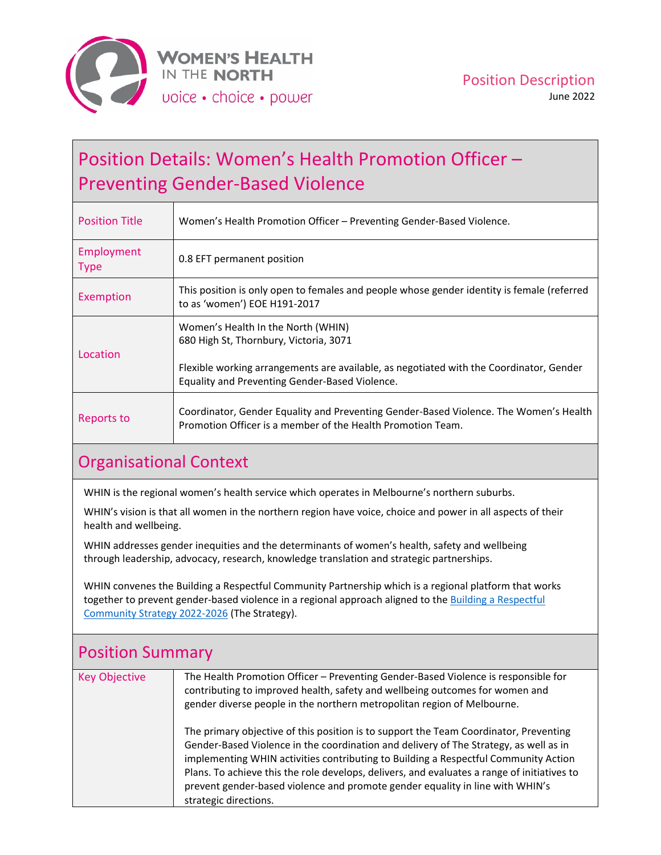

# Position Details: Women's Health Promotion Officer – Preventing Gender‐Based Violence

| <b>Position Title</b>     | Women's Health Promotion Officer - Preventing Gender-Based Violence.                                                                                                                                                      |
|---------------------------|---------------------------------------------------------------------------------------------------------------------------------------------------------------------------------------------------------------------------|
| Employment<br><b>Type</b> | 0.8 EFT permanent position                                                                                                                                                                                                |
| Exemption                 | This position is only open to females and people whose gender identity is female (referred<br>to as 'women') EOE H191-2017                                                                                                |
| Location                  | Women's Health In the North (WHIN)<br>680 High St, Thornbury, Victoria, 3071<br>Flexible working arrangements are available, as negotiated with the Coordinator, Gender<br>Equality and Preventing Gender-Based Violence. |
| Reports to                | Coordinator, Gender Equality and Preventing Gender-Based Violence. The Women's Health<br>Promotion Officer is a member of the Health Promotion Team.                                                                      |

## Organisational Context

WHIN is the regional women's health service which operates in Melbourne's northern suburbs.

WHIN's vision is that all women in the northern region have voice, choice and power in all aspects of their health and wellbeing.

WHIN addresses gender inequities and the determinants of women's health, safety and wellbeing through leadership, advocacy, research, knowledge translation and strategic partnerships.

WHIN convenes the Building a Respectful Community Partnership which is a regional platform that works together to prevent gender-based violence in a regional approach aligned to the **Building a [Respectful](https://www.whin.org.au/wp-content/uploads/sites/2/2022/02/220113-WHIN-BRC-Strategy-FA-web.pdf)** [Community](https://www.whin.org.au/wp-content/uploads/sites/2/2022/02/220113-WHIN-BRC-Strategy-FA-web.pdf) Strategy 2022‐2026 (The Strategy).

| <b>Position Summary</b> |                                                                                                                                                                                                                                                                                                                                                                                                                                                                                |  |
|-------------------------|--------------------------------------------------------------------------------------------------------------------------------------------------------------------------------------------------------------------------------------------------------------------------------------------------------------------------------------------------------------------------------------------------------------------------------------------------------------------------------|--|
| <b>Key Objective</b>    | The Health Promotion Officer - Preventing Gender-Based Violence is responsible for<br>contributing to improved health, safety and wellbeing outcomes for women and<br>gender diverse people in the northern metropolitan region of Melbourne.                                                                                                                                                                                                                                  |  |
|                         | The primary objective of this position is to support the Team Coordinator, Preventing<br>Gender-Based Violence in the coordination and delivery of The Strategy, as well as in<br>implementing WHIN activities contributing to Building a Respectful Community Action<br>Plans. To achieve this the role develops, delivers, and evaluates a range of initiatives to<br>prevent gender-based violence and promote gender equality in line with WHIN's<br>strategic directions. |  |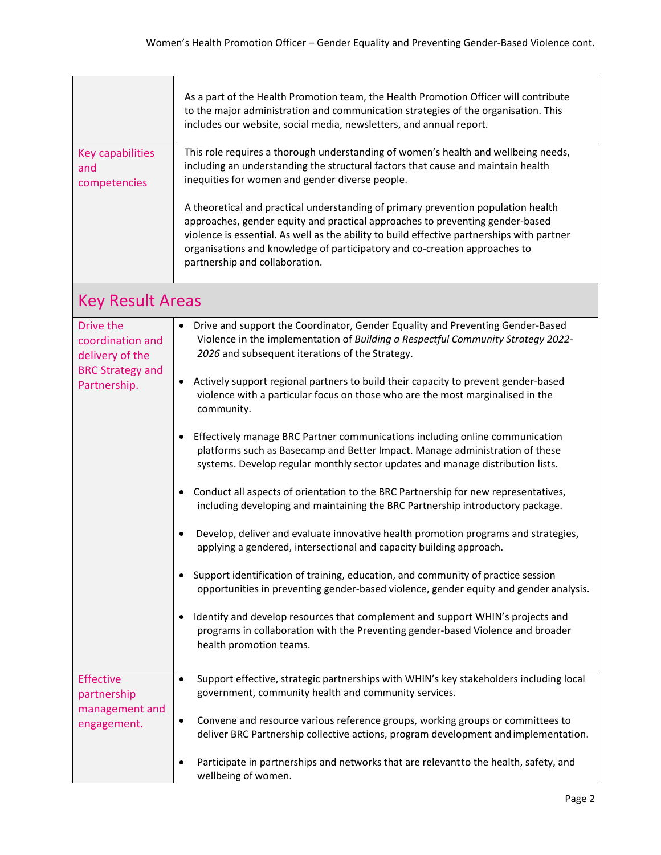| <b>Key capabilities</b><br>and<br>competencies                                              | As a part of the Health Promotion team, the Health Promotion Officer will contribute<br>to the major administration and communication strategies of the organisation. This<br>includes our website, social media, newsletters, and annual report.<br>This role requires a thorough understanding of women's health and wellbeing needs,<br>including an understanding the structural factors that cause and maintain health<br>inequities for women and gender diverse people.<br>A theoretical and practical understanding of primary prevention population health<br>approaches, gender equity and practical approaches to preventing gender-based                                                                                                                                                                                                                                                                                                                                                                                                                                                                                                                                                                                                                                                                                                                                                                          |  |
|---------------------------------------------------------------------------------------------|-------------------------------------------------------------------------------------------------------------------------------------------------------------------------------------------------------------------------------------------------------------------------------------------------------------------------------------------------------------------------------------------------------------------------------------------------------------------------------------------------------------------------------------------------------------------------------------------------------------------------------------------------------------------------------------------------------------------------------------------------------------------------------------------------------------------------------------------------------------------------------------------------------------------------------------------------------------------------------------------------------------------------------------------------------------------------------------------------------------------------------------------------------------------------------------------------------------------------------------------------------------------------------------------------------------------------------------------------------------------------------------------------------------------------------|--|
|                                                                                             | violence is essential. As well as the ability to build effective partnerships with partner<br>organisations and knowledge of participatory and co-creation approaches to<br>partnership and collaboration.                                                                                                                                                                                                                                                                                                                                                                                                                                                                                                                                                                                                                                                                                                                                                                                                                                                                                                                                                                                                                                                                                                                                                                                                                    |  |
| <b>Key Result Areas</b>                                                                     |                                                                                                                                                                                                                                                                                                                                                                                                                                                                                                                                                                                                                                                                                                                                                                                                                                                                                                                                                                                                                                                                                                                                                                                                                                                                                                                                                                                                                               |  |
| Drive the<br>coordination and<br>delivery of the<br><b>BRC Strategy and</b><br>Partnership. | Drive and support the Coordinator, Gender Equality and Preventing Gender-Based<br>$\bullet$<br>Violence in the implementation of Building a Respectful Community Strategy 2022-<br>2026 and subsequent iterations of the Strategy.<br>Actively support regional partners to build their capacity to prevent gender-based<br>violence with a particular focus on those who are the most marginalised in the<br>community.<br>Effectively manage BRC Partner communications including online communication<br>$\bullet$<br>platforms such as Basecamp and Better Impact. Manage administration of these<br>systems. Develop regular monthly sector updates and manage distribution lists.<br>Conduct all aspects of orientation to the BRC Partnership for new representatives,<br>٠<br>including developing and maintaining the BRC Partnership introductory package.<br>Develop, deliver and evaluate innovative health promotion programs and strategies,<br>٠<br>applying a gendered, intersectional and capacity building approach.<br>Support identification of training, education, and community of practice session<br>٠<br>opportunities in preventing gender-based violence, gender equity and gender analysis.<br>Identify and develop resources that complement and support WHIN's projects and<br>٠<br>programs in collaboration with the Preventing gender-based Violence and broader<br>health promotion teams. |  |
| <b>Effective</b>                                                                            | Support effective, strategic partnerships with WHIN's key stakeholders including local<br>$\bullet$                                                                                                                                                                                                                                                                                                                                                                                                                                                                                                                                                                                                                                                                                                                                                                                                                                                                                                                                                                                                                                                                                                                                                                                                                                                                                                                           |  |
| partnership<br>management and<br>engagement.                                                | government, community health and community services.<br>Convene and resource various reference groups, working groups or committees to<br>$\bullet$<br>deliver BRC Partnership collective actions, program development and implementation.<br>Participate in partnerships and networks that are relevant to the health, safety, and<br>$\bullet$                                                                                                                                                                                                                                                                                                                                                                                                                                                                                                                                                                                                                                                                                                                                                                                                                                                                                                                                                                                                                                                                              |  |
|                                                                                             | wellbeing of women.                                                                                                                                                                                                                                                                                                                                                                                                                                                                                                                                                                                                                                                                                                                                                                                                                                                                                                                                                                                                                                                                                                                                                                                                                                                                                                                                                                                                           |  |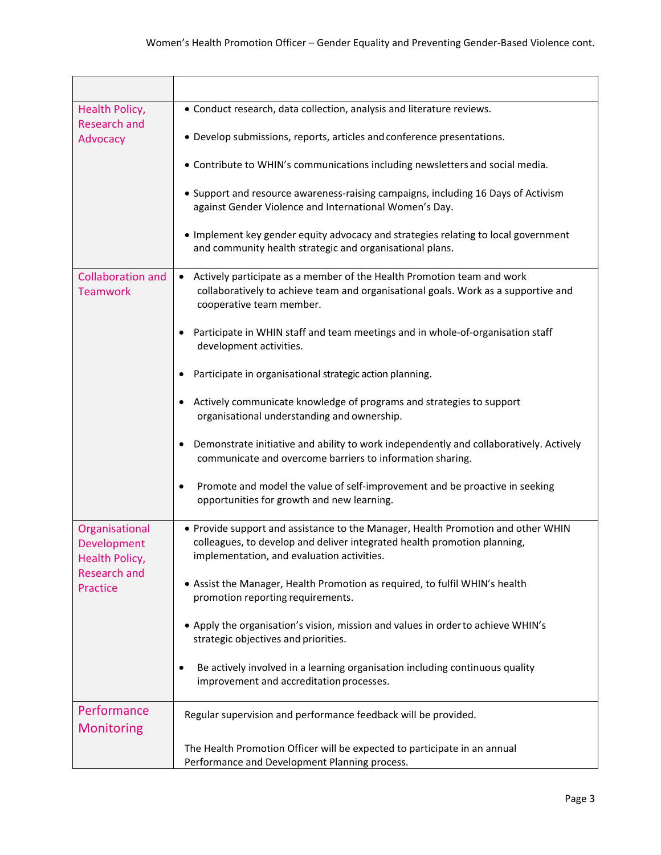| Health Policy,<br><b>Research and</b><br>Advocacy                                  | • Conduct research, data collection, analysis and literature reviews.<br>• Develop submissions, reports, articles and conference presentations.                                                            |
|------------------------------------------------------------------------------------|------------------------------------------------------------------------------------------------------------------------------------------------------------------------------------------------------------|
|                                                                                    | • Contribute to WHIN's communications including newsletters and social media.                                                                                                                              |
|                                                                                    | • Support and resource awareness-raising campaigns, including 16 Days of Activism<br>against Gender Violence and International Women's Day.                                                                |
|                                                                                    | • Implement key gender equity advocacy and strategies relating to local government<br>and community health strategic and organisational plans.                                                             |
| <b>Collaboration and</b><br><b>Teamwork</b>                                        | Actively participate as a member of the Health Promotion team and work<br>$\bullet$<br>collaboratively to achieve team and organisational goals. Work as a supportive and<br>cooperative team member.      |
|                                                                                    | Participate in WHIN staff and team meetings and in whole-of-organisation staff<br>$\bullet$<br>development activities.                                                                                     |
|                                                                                    | Participate in organisational strategic action planning.                                                                                                                                                   |
|                                                                                    | Actively communicate knowledge of programs and strategies to support<br>٠<br>organisational understanding and ownership.                                                                                   |
|                                                                                    | Demonstrate initiative and ability to work independently and collaboratively. Actively<br>٠<br>communicate and overcome barriers to information sharing.                                                   |
|                                                                                    | Promote and model the value of self-improvement and be proactive in seeking<br>٠<br>opportunities for growth and new learning.                                                                             |
| Organisational<br>Development<br>Health Policy,<br><b>Research and</b><br>Practice | • Provide support and assistance to the Manager, Health Promotion and other WHIN<br>colleagues, to develop and deliver integrated health promotion planning,<br>implementation, and evaluation activities. |
|                                                                                    | • Assist the Manager, Health Promotion as required, to fulfil WHIN's health<br>promotion reporting requirements.                                                                                           |
|                                                                                    | • Apply the organisation's vision, mission and values in order to achieve WHIN's<br>strategic objectives and priorities.                                                                                   |
|                                                                                    | Be actively involved in a learning organisation including continuous quality<br>٠<br>improvement and accreditation processes.                                                                              |
| Performance<br><b>Monitoring</b>                                                   | Regular supervision and performance feedback will be provided.                                                                                                                                             |
|                                                                                    | The Health Promotion Officer will be expected to participate in an annual<br>Performance and Development Planning process.                                                                                 |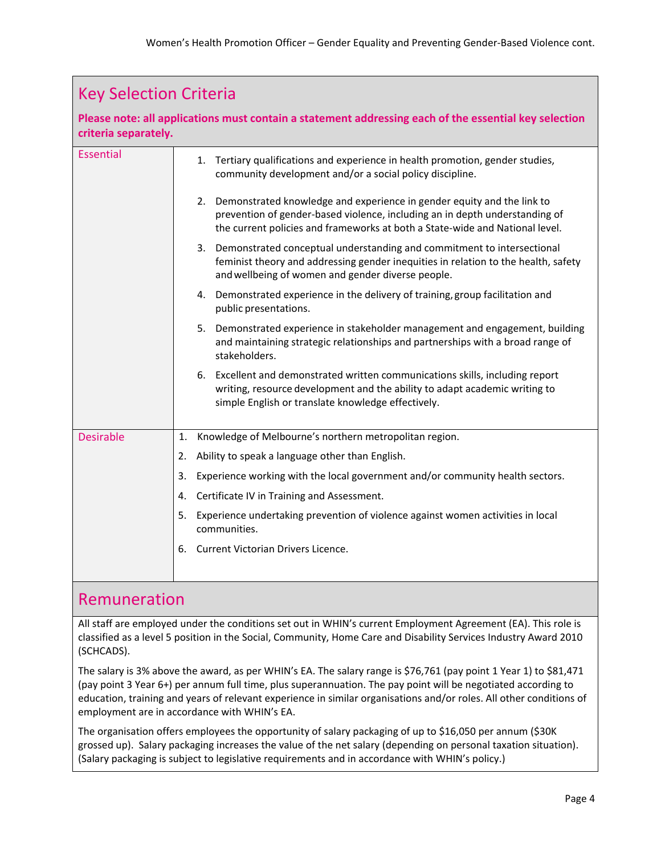| <b>Key Selection Criteria</b> |                                                                                                                                                                                                                                          |  |
|-------------------------------|------------------------------------------------------------------------------------------------------------------------------------------------------------------------------------------------------------------------------------------|--|
| criteria separately.          | Please note: all applications must contain a statement addressing each of the essential key selection                                                                                                                                    |  |
| <b>Essential</b>              | 1. Tertiary qualifications and experience in health promotion, gender studies,<br>community development and/or a social policy discipline.                                                                                               |  |
|                               | 2. Demonstrated knowledge and experience in gender equity and the link to<br>prevention of gender-based violence, including an in depth understanding of<br>the current policies and frameworks at both a State-wide and National level. |  |
|                               | 3. Demonstrated conceptual understanding and commitment to intersectional<br>feminist theory and addressing gender inequities in relation to the health, safety<br>and wellbeing of women and gender diverse people.                     |  |
|                               | Demonstrated experience in the delivery of training, group facilitation and<br>4.<br>public presentations.                                                                                                                               |  |
|                               | 5.<br>Demonstrated experience in stakeholder management and engagement, building<br>and maintaining strategic relationships and partnerships with a broad range of<br>stakeholders.                                                      |  |
|                               | Excellent and demonstrated written communications skills, including report<br>6.<br>writing, resource development and the ability to adapt academic writing to<br>simple English or translate knowledge effectively.                     |  |
| <b>Desirable</b>              | Knowledge of Melbourne's northern metropolitan region.<br>1.                                                                                                                                                                             |  |
|                               | Ability to speak a language other than English.<br>2.                                                                                                                                                                                    |  |
|                               | Experience working with the local government and/or community health sectors.<br>3.                                                                                                                                                      |  |
|                               | Certificate IV in Training and Assessment.<br>4.                                                                                                                                                                                         |  |
|                               | Experience undertaking prevention of violence against women activities in local<br>5.<br>communities.                                                                                                                                    |  |
|                               | Current Victorian Drivers Licence.<br>6.                                                                                                                                                                                                 |  |

#### Remuneration

All staff are employed under the conditions set out in WHIN's current Employment Agreement (EA). This role is classified as a level 5 position in the Social, Community, Home Care and Disability Services Industry Award 2010 (SCHCADS).

The salary is 3% above the award, as per WHIN's EA. The salary range is \$76,761 (pay point 1 Year 1) to \$81,471 (pay point 3 Year 6+) per annum full time, plus superannuation. The pay point will be negotiated according to education, training and years of relevant experience in similar organisations and/or roles. All other conditions of employment are in accordance with WHIN's EA.

The organisation offers employees the opportunity of salary packaging of up to \$16,050 per annum (\$30K grossed up). Salary packaging increases the value of the net salary (depending on personal taxation situation). (Salary packaging is subject to legislative requirements and in accordance with WHIN's policy.)